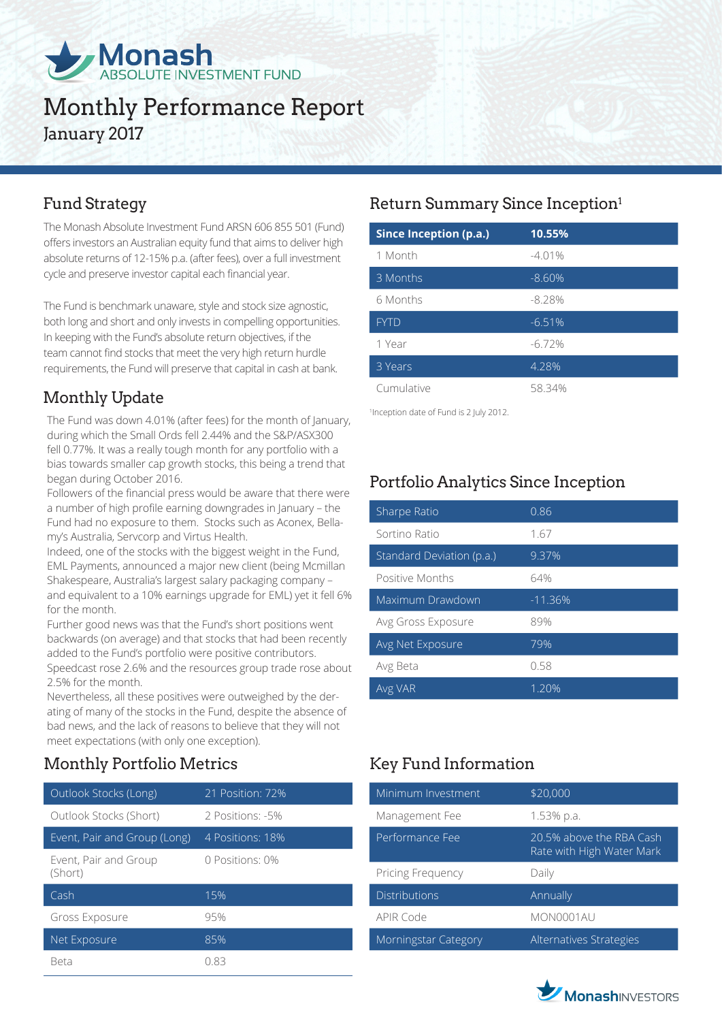

# Monthly Performance Report January 2017

The Monash Absolute Investment Fund ARSN 606 855 501 (Fund) offers investors an Australian equity fund that aims to deliver high absolute returns of 12-15% p.a. (after fees), over a full investment cycle and preserve investor capital each financial year.

The Fund is benchmark unaware, style and stock size agnostic, both long and short and only invests in compelling opportunities. In keeping with the Fund's absolute return objectives, if the team cannot find stocks that meet the very high return hurdle requirements, the Fund will preserve that capital in cash at bank.

## Monthly Update

The Fund was down 4.01% (after fees) for the month of January, during which the Small Ords fell 2.44% and the S&P/ASX300 fell 0.77%. It was a really tough month for any portfolio with a bias towards smaller cap growth stocks, this being a trend that began during October 2016.

Followers of the financial press would be aware that there were a number of high profile earning downgrades in January – the Fund had no exposure to them. Stocks such as Aconex, Bellamy's Australia, Servcorp and Virtus Health.

Indeed, one of the stocks with the biggest weight in the Fund, EML Payments, announced a major new client (being Mcmillan Shakespeare, Australia's largest salary packaging company – and equivalent to a 10% earnings upgrade for EML) yet it fell 6% for the month.

Further good news was that the Fund's short positions went backwards (on average) and that stocks that had been recently added to the Fund's portfolio were positive contributors. Speedcast rose 2.6% and the resources group trade rose about 2.5% for the month.

Nevertheless, all these positives were outweighed by the derating of many of the stocks in the Fund, despite the absence of bad news, and the lack of reasons to believe that they will not meet expectations (with only one exception).

## Monthly Portfolio Metrics Key Fund Information

| Outlook Stocks (Long)            | 21 Position: 72% |
|----------------------------------|------------------|
| Outlook Stocks (Short)           | 2 Positions: -5% |
| Event, Pair and Group (Long)     | 4 Positions: 18% |
| Event, Pair and Group<br>(Short) | 0 Positions: 0%  |
| Cash                             | 15%              |
| Gross Exposure                   | 95%              |
| Net Exposure                     | 85%              |
| Reta                             | N 83             |

## Fund Strategy **Return Summary Since Inception**<sup>1</sup>

| Since Inception (p.a.) | 10.55%    |
|------------------------|-----------|
| 1 Month                | $-4.01%$  |
| 3 Months               | $-8.60%$  |
| 6 Months               | $-8.28%$  |
| <b>FYTD</b>            | $-6.51%$  |
| 1 Year                 | $-6.72\%$ |
| 3 Years                | 4.28%     |
| Cumulative             | 5834%     |

1 Inception date of Fund is 2 July 2012.

## Portfolio Analytics Since Inception

| Sharpe Ratio              | 0.86      |
|---------------------------|-----------|
| Sortino Ratio             | 1.67      |
| Standard Deviation (p.a.) | 9.37%     |
| Positive Months           | 64%       |
| Maximum Drawdown          | $-11.36%$ |
| Avg Gross Exposure        | 89%       |
| Avg Net Exposure          | 79%       |
| Avg Beta                  | 0.58      |
| Avg VAR                   | 1.20%     |

| Minimum Investment   | \$20,000                                              |
|----------------------|-------------------------------------------------------|
| Management Fee       | 1.53% p.a.                                            |
| Performance Fee      | 20.5% above the RBA Cash<br>Rate with High Water Mark |
| Pricing Frequency    | Daily                                                 |
| <b>Distributions</b> | Annually                                              |
| <b>APIR Code</b>     | MON0001AU                                             |
| Morningstar Category | Alternatives Strategies                               |

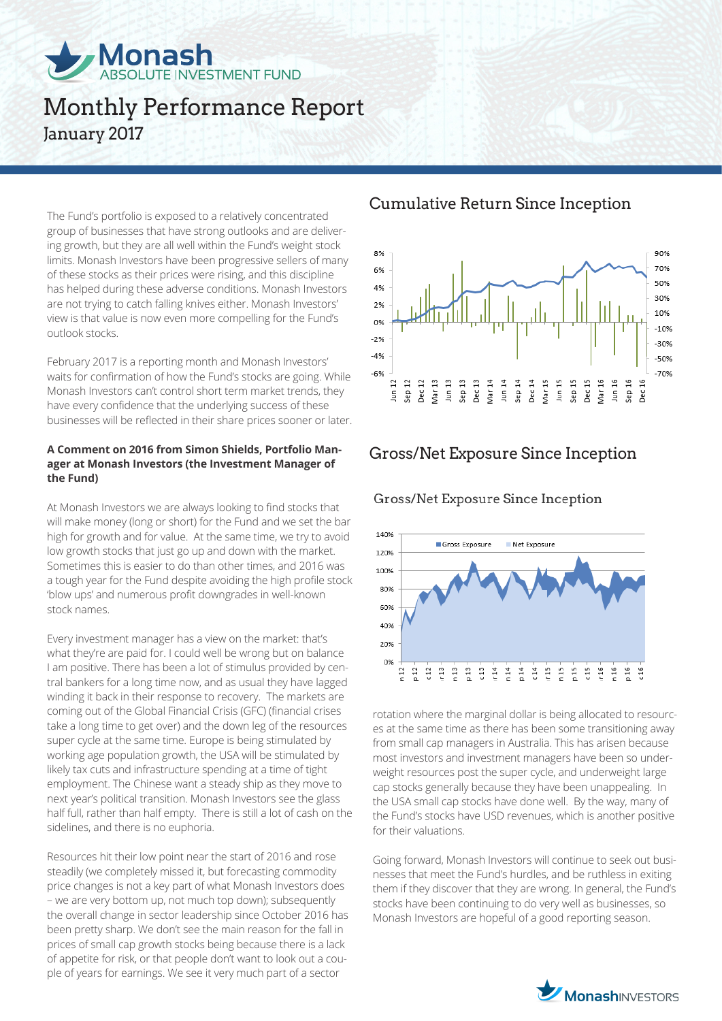

# Monthly Performance Report January 2017

The Fund's portfolio is exposed to a relatively concentrated group of businesses that have strong outlooks and are delivering growth, but they are all well within the Fund's weight stock limits. Monash Investors have been progressive sellers of many of these stocks as their prices were rising, and this discipline has helped during these adverse conditions. Monash Investors are not trying to catch falling knives either. Monash Investors' view is that value is now even more compelling for the Fund's outlook stocks.

February 2017 is a reporting month and Monash Investors' waits for confirmation of how the Fund's stocks are going. While Monash Investors can't control short term market trends, they have every confidence that the underlying success of these businesses will be reflected in their share prices sooner or later.

#### **A Comment on 2016 from Simon Shields, Portfolio Manager at Monash Investors (the Investment Manager of the Fund)**

At Monash Investors we are always looking to find stocks that will make money (long or short) for the Fund and we set the bar high for growth and for value. At the same time, we try to avoid low growth stocks that just go up and down with the market. Sometimes this is easier to do than other times, and 2016 was a tough year for the Fund despite avoiding the high profile stock 'blow ups' and numerous profit downgrades in well-known stock names.

Every investment manager has a view on the market: that's what they're are paid for. I could well be wrong but on balance I am positive. There has been a lot of stimulus provided by central bankers for a long time now, and as usual they have lagged winding it back in their response to recovery. The markets are coming out of the Global Financial Crisis (GFC) (financial crises take a long time to get over) and the down leg of the resources super cycle at the same time. Europe is being stimulated by working age population growth, the USA will be stimulated by likely tax cuts and infrastructure spending at a time of tight employment. The Chinese want a steady ship as they move to next year's political transition. Monash Investors see the glass half full, rather than half empty. There is still a lot of cash on the sidelines, and there is no euphoria.

Resources hit their low point near the start of 2016 and rose steadily (we completely missed it, but forecasting commodity price changes is not a key part of what Monash Investors does – we are very bottom up, not much top down); subsequently the overall change in sector leadership since October 2016 has been pretty sharp. We don't see the main reason for the fall in prices of small cap growth stocks being because there is a lack of appetite for risk, or that people don't want to look out a couple of years for earnings. We see it very much part of a sector

### Cumulative Return Since Inception



## Gross/Net Exposure Since Inception

#### Gross/Net Exposure Since Inception



rotation where the marginal dollar is being allocated to resources at the same time as there has been some transitioning away from small cap managers in Australia. This has arisen because most investors and investment managers have been so underweight resources post the super cycle, and underweight large cap stocks generally because they have been unappealing. In the USA small cap stocks have done well. By the way, many of the Fund's stocks have USD revenues, which is another positive for their valuations.

Going forward, Monash Investors will continue to seek out businesses that meet the Fund's hurdles, and be ruthless in exiting them if they discover that they are wrong. In general, the Fund's stocks have been continuing to do very well as businesses, so Monash Investors are hopeful of a good reporting season.